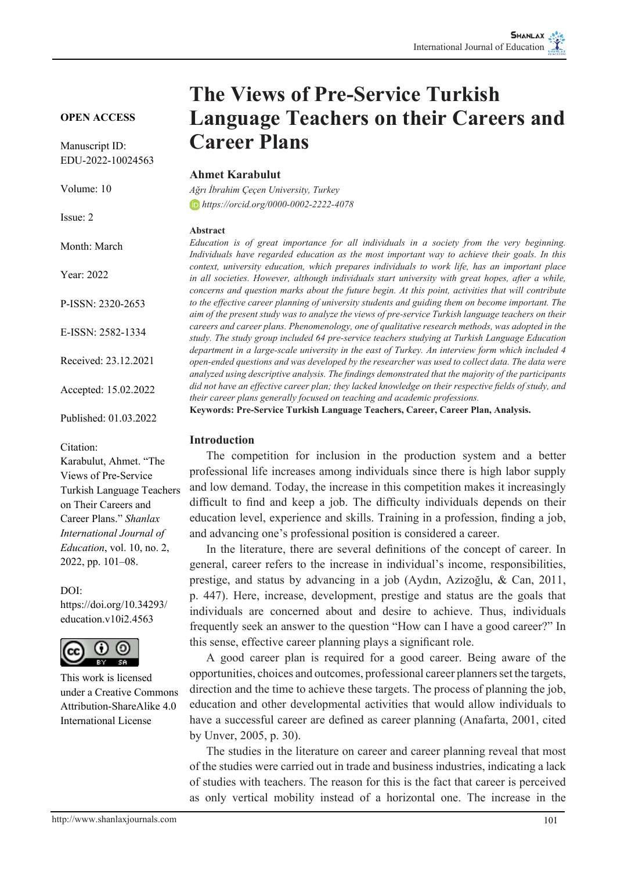# **OPEN ACCESS**

Manuscript ID: EDU-2022-10024563

Volume: 10

Issue: 2

Month: March

Year: 2022

P-ISSN: 2320-2653

E-ISSN: 2582-1334

Received: 23.12.2021

Accepted: 15.02.2022

Published: 01.03.2022

#### Citation:

Karabulut, Ahmet. "The Views of Pre-Service Turkish Language Teachers on Their Careers and Career Plans." *Shanlax International Journal of Education*, vol. 10, no. 2, 2022, pp. 101–08.

#### DOI:

https://doi.org/10.34293/ education v10i2.4563



This work is licensed under a Creative Commons Attribution-ShareAlike 4.0 International License

# **The Views of Pre-Service Turkish Language Teachers on their Careers and Career Plans**

## **Ahmet Karabulut**

*Ağrı İbrahim Çeçen University, Turkey https://orcid.org/0000-0002-2222-4078*

#### **Abstract**

*Education is of great importance for all individuals in a society from the very beginning. Individuals have regarded education as the most important way to achieve their goals. In this context, university education, which prepares individuals to work life, has an important place in all societies. However, although individuals start university with great hopes, after a while, concerns and question marks about the future begin. At this point, activities that will contribute to the effective career planning of university students and guiding them on become important. The aim of the present study was to analyze the views of pre-service Turkish language teachers on their careers and career plans. Phenomenology, one of qualitative research methods, was adopted in the study. The study group included 64 pre-service teachers studying at Turkish Language Education department in a large-scale university in the east of Turkey. An interview form which included 4 open-ended questions and was developed by the researcher was used to collect data. The data were analyzed using descriptive analysis. The findings demonstrated that the majority of the participants did not have an effective career plan; they lacked knowledge on their respective fields of study, and their career plans generally focused on teaching and academic professions.*

**Keywords: Pre-Service Turkish Language Teachers, Career, Career Plan, Analysis.**

#### **Introduction**

The competition for inclusion in the production system and a better professional life increases among individuals since there is high labor supply and low demand. Today, the increase in this competition makes it increasingly difficult to find and keep a job. The difficulty individuals depends on their education level, experience and skills. Training in a profession, finding a job, and advancing one's professional position is considered a career.

In the literature, there are several definitions of the concept of career. In general, career refers to the increase in individual's income, responsibilities, prestige, and status by advancing in a job (Aydın, Azizoğlu, & Can, 2011, p. 447). Here, increase, development, prestige and status are the goals that individuals are concerned about and desire to achieve. Thus, individuals frequently seek an answer to the question "How can I have a good career?" In this sense, effective career planning plays a significant role.

A good career plan is required for a good career. Being aware of the opportunities, choices and outcomes, professional career planners set the targets, direction and the time to achieve these targets. The process of planning the job, education and other developmental activities that would allow individuals to have a successful career are defined as career planning (Anafarta, 2001, cited by Unver, 2005, p. 30).

The studies in the literature on career and career planning reveal that most of the studies were carried out in trade and business industries, indicating a lack of studies with teachers. The reason for this is the fact that career is perceived as only vertical mobility instead of a horizontal one. The increase in the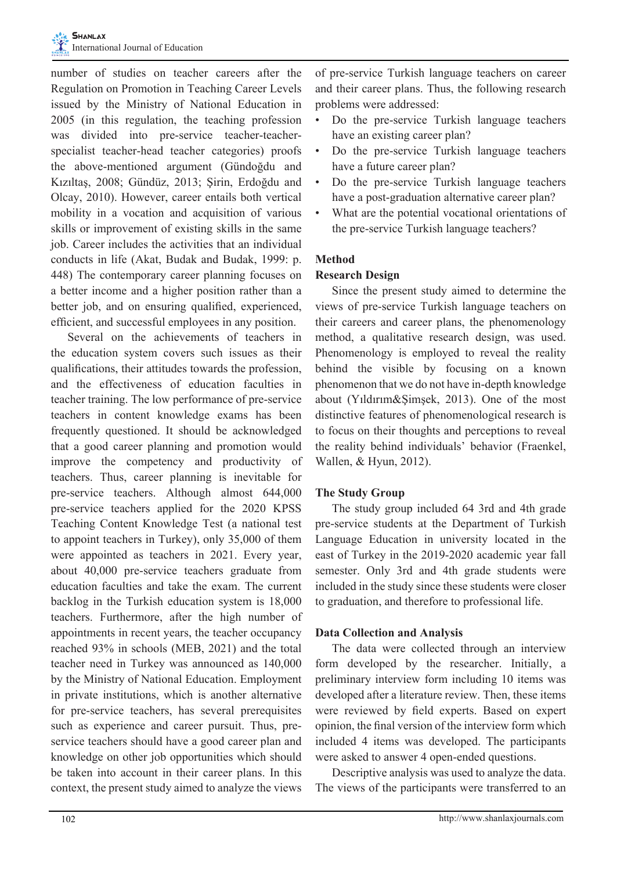

number of studies on teacher careers after the Regulation on Promotion in Teaching Career Levels issued by the Ministry of National Education in 2005 (in this regulation, the teaching profession was divided into pre-service teacher-teacherspecialist teacher-head teacher categories) proofs the above-mentioned argument (Gündoğdu and Kızıltaş, 2008; Gündüz, 2013; Şirin, Erdoğdu and Olcay, 2010). However, career entails both vertical mobility in a vocation and acquisition of various skills or improvement of existing skills in the same job. Career includes the activities that an individual conducts in life (Akat, Budak and Budak, 1999: p. 448) The contemporary career planning focuses on a better income and a higher position rather than a better job, and on ensuring qualified, experienced, efficient, and successful employees in any position.

Several on the achievements of teachers in the education system covers such issues as their qualifications, their attitudes towards the profession, and the effectiveness of education faculties in teacher training. The low performance of pre-service teachers in content knowledge exams has been frequently questioned. It should be acknowledged that a good career planning and promotion would improve the competency and productivity of teachers. Thus, career planning is inevitable for pre-service teachers. Although almost 644,000 pre-service teachers applied for the 2020 KPSS Teaching Content Knowledge Test (a national test to appoint teachers in Turkey), only 35,000 of them were appointed as teachers in 2021. Every year, about 40,000 pre-service teachers graduate from education faculties and take the exam. The current backlog in the Turkish education system is 18,000 teachers. Furthermore, after the high number of appointments in recent years, the teacher occupancy reached 93% in schools (MEB, 2021) and the total teacher need in Turkey was announced as 140,000 by the Ministry of National Education. Employment in private institutions, which is another alternative for pre-service teachers, has several prerequisites such as experience and career pursuit. Thus, preservice teachers should have a good career plan and knowledge on other job opportunities which should be taken into account in their career plans. In this context, the present study aimed to analyze the views

of pre-service Turkish language teachers on career and their career plans. Thus, the following research problems were addressed:

- Do the pre-service Turkish language teachers have an existing career plan?
- Do the pre-service Turkish language teachers have a future career plan?
- Do the pre-service Turkish language teachers have a post-graduation alternative career plan?
- What are the potential vocational orientations of the pre-service Turkish language teachers?

# **Method**

## **Research Design**

Since the present study aimed to determine the views of pre-service Turkish language teachers on their careers and career plans, the phenomenology method, a qualitative research design, was used. Phenomenology is employed to reveal the reality behind the visible by focusing on a known phenomenon that we do not have in-depth knowledge about (Yıldırım&Şimşek, 2013). One of the most distinctive features of phenomenological research is to focus on their thoughts and perceptions to reveal the reality behind individuals' behavior (Fraenkel, Wallen, & Hyun, 2012).

#### **The Study Group**

The study group included 64 3rd and 4th grade pre-service students at the Department of Turkish Language Education in university located in the east of Turkey in the 2019-2020 academic year fall semester. Only 3rd and 4th grade students were included in the study since these students were closer to graduation, and therefore to professional life.

#### **Data Collection and Analysis**

The data were collected through an interview form developed by the researcher. Initially, a preliminary interview form including 10 items was developed after a literature review. Then, these items were reviewed by field experts. Based on expert opinion, the final version of the interview form which included 4 items was developed. The participants were asked to answer 4 open-ended questions.

Descriptive analysis was used to analyze the data. The views of the participants were transferred to an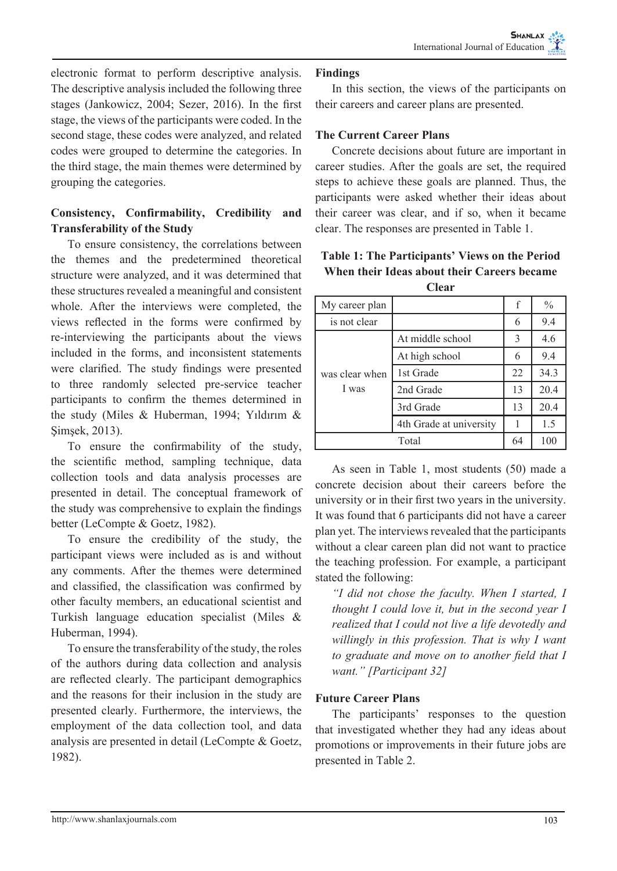electronic format to perform descriptive analysis. The descriptive analysis included the following three stages (Jankowicz, 2004; Sezer, 2016). In the first stage, the views of the participants were coded. In the second stage, these codes were analyzed, and related codes were grouped to determine the categories. In the third stage, the main themes were determined by grouping the categories.

# **Consistency, Confirmability, Credibility and Transferability of the Study**

To ensure consistency, the correlations between the themes and the predetermined theoretical structure were analyzed, and it was determined that these structures revealed a meaningful and consistent whole. After the interviews were completed, the views reflected in the forms were confirmed by re-interviewing the participants about the views included in the forms, and inconsistent statements were clarified. The study findings were presented to three randomly selected pre-service teacher participants to confirm the themes determined in the study (Miles & Huberman, 1994; Yıldırım & Şimşek, 2013).

To ensure the confirmability of the study, the scientific method, sampling technique, data collection tools and data analysis processes are presented in detail. The conceptual framework of the study was comprehensive to explain the findings better (LeCompte & Goetz, 1982).

To ensure the credibility of the study, the participant views were included as is and without any comments. After the themes were determined and classified, the classification was confirmed by other faculty members, an educational scientist and Turkish language education specialist (Miles & Huberman, 1994).

To ensure the transferability of the study, the roles of the authors during data collection and analysis are reflected clearly. The participant demographics and the reasons for their inclusion in the study are presented clearly. Furthermore, the interviews, the employment of the data collection tool, and data analysis are presented in detail (LeCompte & Goetz, 1982).

# **Findings**

In this section, the views of the participants on their careers and career plans are presented.

# **The Current Career Plans**

Concrete decisions about future are important in career studies. After the goals are set, the required steps to achieve these goals are planned. Thus, the participants were asked whether their ideas about their career was clear, and if so, when it became clear. The responses are presented in Table 1.

| My career plan          |                         | f  | $\frac{0}{0}$ |
|-------------------------|-------------------------|----|---------------|
| is not clear            |                         | 6  | 9.4           |
| was clear when<br>I was | At middle school        | 3  | 4.6           |
|                         | At high school          | 6  | 9.4           |
|                         | 1st Grade               | 22 | 34.3          |
|                         | 2nd Grade               | 13 | 20.4          |
|                         | 3rd Grade               | 13 | 20.4          |
|                         | 4th Grade at university |    | 1.5           |
|                         | Total                   | 64 | 100           |

**Table 1: The Participants' Views on the Period When their Ideas about their Careers became Clear**

As seen in Table 1, most students (50) made a concrete decision about their careers before the university or in their first two years in the university. It was found that 6 participants did not have a career plan yet. The interviews revealed that the participants without a clear careen plan did not want to practice the teaching profession. For example, a participant stated the following:

*"I did not chose the faculty. When I started, I thought I could love it, but in the second year I realized that I could not live a life devotedly and willingly in this profession. That is why I want to graduate and move on to another field that I want." [Participant 32]*

# **Future Career Plans**

The participants' responses to the question that investigated whether they had any ideas about promotions or improvements in their future jobs are presented in Table 2.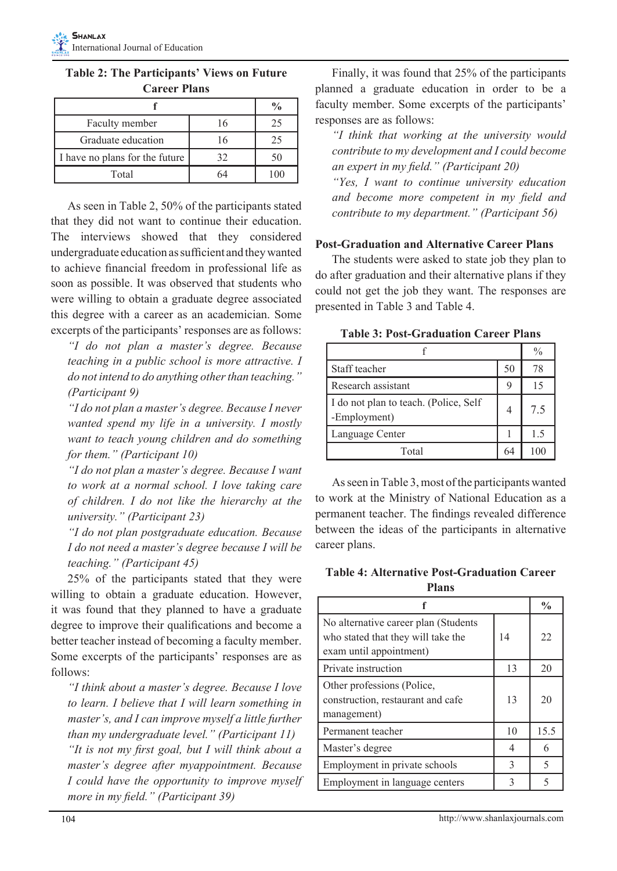|                                |    | $\frac{0}{0}$ |
|--------------------------------|----|---------------|
| Faculty member                 | 16 | 25            |
| Graduate education             | 16 | 25            |
| I have no plans for the future | 32 | 50            |
| Total                          |    |               |

**Table 2: The Participants' Views on Future Career Plans**

As seen in Table 2, 50% of the participants stated that they did not want to continue their education. The interviews showed that they considered undergraduate education as sufficient and they wanted to achieve financial freedom in professional life as soon as possible. It was observed that students who were willing to obtain a graduate degree associated this degree with a career as an academician. Some excerpts of the participants' responses are as follows:

*"I do not plan a master's degree. Because teaching in a public school is more attractive. I do not intend to do anything other than teaching." (Participant 9)*

*"I do not plan a master's degree. Because I never wanted spend my life in a university. I mostly want to teach young children and do something for them." (Participant 10)*

*"I do not plan a master's degree. Because I want to work at a normal school. I love taking care of children. I do not like the hierarchy at the university." (Participant 23)*

*"I do not plan postgraduate education. Because I do not need a master's degree because I will be teaching." (Participant 45)*

25% of the participants stated that they were willing to obtain a graduate education. However, it was found that they planned to have a graduate degree to improve their qualifications and become a better teacher instead of becoming a faculty member. Some excerpts of the participants' responses are as follows:

*"I think about a master's degree. Because I love to learn. I believe that I will learn something in master's, and I can improve myself a little further than my undergraduate level." (Participant 11) "It is not my first goal, but I will think about a master's degree after myappointment. Because I could have the opportunity to improve myself more in my field." (Participant 39)*

Finally, it was found that 25% of the participants planned a graduate education in order to be a faculty member. Some excerpts of the participants' responses are as follows:

*"I think that working at the university would contribute to my development and I could become an expert in my field." (Participant 20)*

*"Yes, I want to continue university education and become more competent in my field and contribute to my department." (Participant 56)*

## **Post-Graduation and Alternative Career Plans**

The students were asked to state job they plan to do after graduation and their alternative plans if they could not get the job they want. The responses are presented in Table 3 and Table 4.

**Table 3: Post-Graduation Career Plans**

|                                                       |    | %   |
|-------------------------------------------------------|----|-----|
| Staff teacher                                         | 50 | 78  |
| Research assistant                                    | 9  | 15  |
| I do not plan to teach. (Police, Self<br>-Employment) | 4  | 7.5 |
| Language Center                                       |    | 15  |
| Total                                                 | 64 | 100 |

As seen in Table 3, most of the participants wanted to work at the Ministry of National Education as a permanent teacher. The findings revealed difference between the ideas of the participants in alternative career plans.

**Table 4: Alternative Post-Graduation Career Plans**

|                                                                                                       |    | $\frac{0}{0}$ |
|-------------------------------------------------------------------------------------------------------|----|---------------|
| No alternative career plan (Students<br>who stated that they will take the<br>exam until appointment) | 14 | 22            |
| Private instruction                                                                                   | 13 | 20            |
| Other professions (Police,<br>construction, restaurant and cafe<br>management)                        | 13 | 20            |
| Permanent teacher                                                                                     | 10 | 15.5          |
| Master's degree                                                                                       | 4  | 6             |
| Employment in private schools                                                                         | 3  | 5             |
| Employment in language centers                                                                        | 3  |               |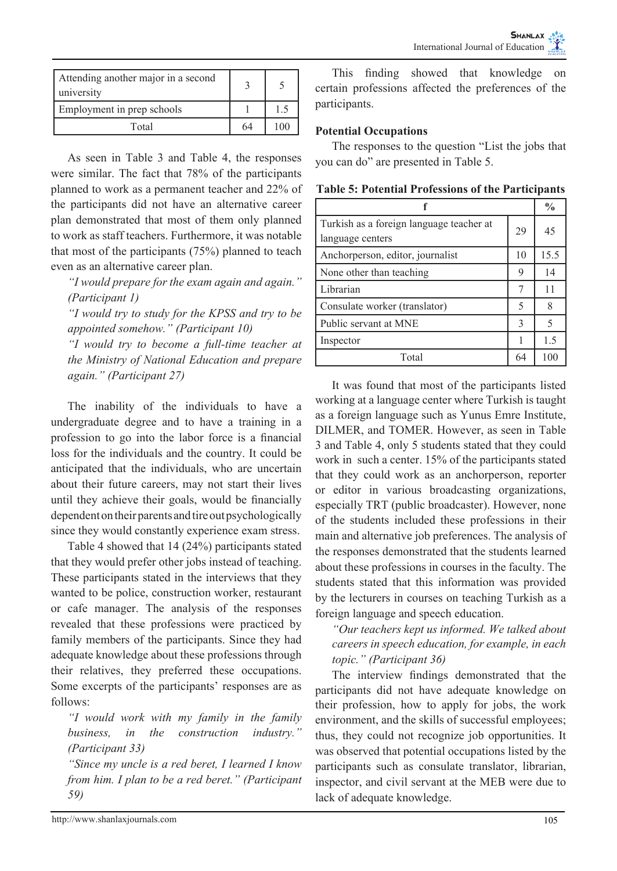| Attending another major in a second<br>university |    |     |
|---------------------------------------------------|----|-----|
| Employment in prep schools                        |    | 1.5 |
| Total                                             | 64 | 100 |

As seen in Table 3 and Table 4, the responses were similar. The fact that 78% of the participants planned to work as a permanent teacher and 22% of the participants did not have an alternative career plan demonstrated that most of them only planned to work as staff teachers. Furthermore, it was notable that most of the participants (75%) planned to teach even as an alternative career plan.

*"I would prepare for the exam again and again." (Participant 1)*

*"I would try to study for the KPSS and try to be appointed somehow." (Participant 10)*

*"I would try to become a full-time teacher at the Ministry of National Education and prepare again." (Participant 27)*

The inability of the individuals to have a undergraduate degree and to have a training in a profession to go into the labor force is a financial loss for the individuals and the country. It could be anticipated that the individuals, who are uncertain about their future careers, may not start their lives until they achieve their goals, would be financially dependent on their parents and tire out psychologically since they would constantly experience exam stress.

Table 4 showed that 14 (24%) participants stated that they would prefer other jobs instead of teaching. These participants stated in the interviews that they wanted to be police, construction worker, restaurant or cafe manager. The analysis of the responses revealed that these professions were practiced by family members of the participants. Since they had adequate knowledge about these professions through their relatives, they preferred these occupations. Some excerpts of the participants' responses are as follows:

*"I would work with my family in the family business, in the construction industry." (Participant 33)*

*"Since my uncle is a red beret, I learned I know from him. I plan to be a red beret." (Participant 59)*

This finding showed that knowledge on certain professions affected the preferences of the participants.

# **Potential Occupations**

The responses to the question "List the jobs that you can do" are presented in Table 5.

|                                                              |    | $\frac{0}{0}$ |
|--------------------------------------------------------------|----|---------------|
| Turkish as a foreign language teacher at<br>language centers | 29 | 45            |
| Anchorperson, editor, journalist                             | 10 | 15.5          |
| None other than teaching                                     | 9  | 14            |
| Librarian                                                    |    | 11            |
| Consulate worker (translator)                                | 5  | 8             |
| Public servant at MNE                                        | 3  | 5             |
| Inspector                                                    |    | 1.5           |
| Total                                                        | 64 | 100           |

**Table 5: Potential Professions of the Participants**

It was found that most of the participants listed working at a language center where Turkish is taught as a foreign language such as Yunus Emre Institute, DILMER, and TOMER. However, as seen in Table 3 and Table 4, only 5 students stated that they could work in such a center. 15% of the participants stated that they could work as an anchorperson, reporter or editor in various broadcasting organizations, especially TRT (public broadcaster). However, none of the students included these professions in their main and alternative job preferences. The analysis of the responses demonstrated that the students learned about these professions in courses in the faculty. The students stated that this information was provided by the lecturers in courses on teaching Turkish as a foreign language and speech education.

*"Our teachers kept us informed. We talked about careers in speech education, for example, in each topic." (Participant 36)*

The interview findings demonstrated that the participants did not have adequate knowledge on their profession, how to apply for jobs, the work environment, and the skills of successful employees; thus, they could not recognize job opportunities. It was observed that potential occupations listed by the participants such as consulate translator, librarian, inspector, and civil servant at the MEB were due to lack of adequate knowledge.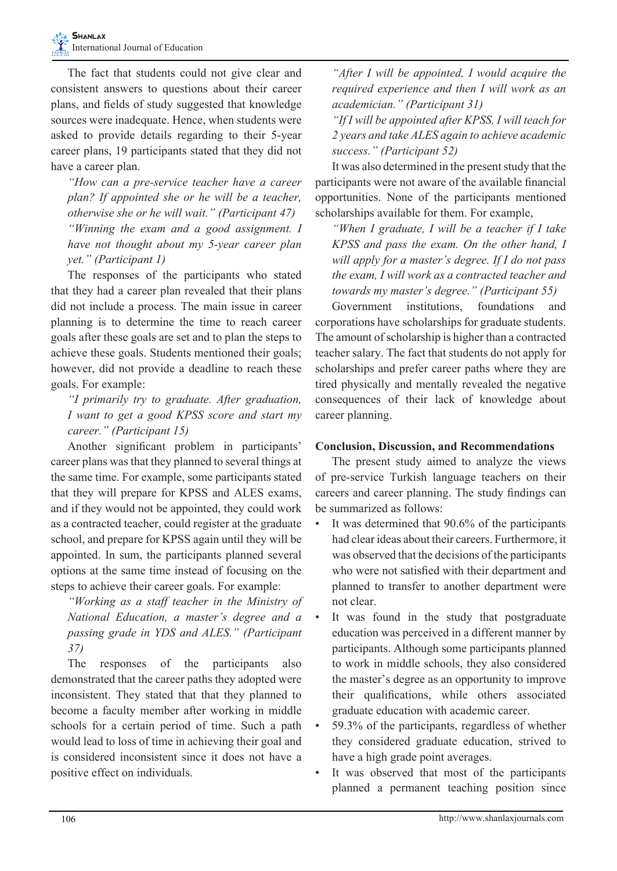The fact that students could not give clear and consistent answers to questions about their career plans, and fields of study suggested that knowledge sources were inadequate. Hence, when students were asked to provide details regarding to their 5-year career plans, 19 participants stated that they did not have a career plan.

*"How can a pre-service teacher have a career plan? If appointed she or he will be a teacher, otherwise she or he will wait." (Participant 47) "Winning the exam and a good assignment. I have not thought about my 5-year career plan yet." (Participant 1)*

The responses of the participants who stated that they had a career plan revealed that their plans did not include a process. The main issue in career planning is to determine the time to reach career goals after these goals are set and to plan the steps to achieve these goals. Students mentioned their goals; however, did not provide a deadline to reach these goals. For example:

*"I primarily try to graduate. After graduation, I want to get a good KPSS score and start my career." (Participant 15)*

Another significant problem in participants' career plans was that they planned to several things at the same time. For example, some participants stated that they will prepare for KPSS and ALES exams, and if they would not be appointed, they could work as a contracted teacher, could register at the graduate school, and prepare for KPSS again until they will be appointed. In sum, the participants planned several options at the same time instead of focusing on the steps to achieve their career goals. For example:

*"Working as a staff teacher in the Ministry of National Education, a master's degree and a passing grade in YDS and ALES." (Participant 37)*

The responses of the participants also demonstrated that the career paths they adopted were inconsistent. They stated that that they planned to become a faculty member after working in middle schools for a certain period of time. Such a path would lead to loss of time in achieving their goal and is considered inconsistent since it does not have a positive effect on individuals.

*"After I will be appointed, I would acquire the required experience and then I will work as an academician." (Participant 31)*

*"If I will be appointed after KPSS, I will teach for 2 years and take ALES again to achieve academic success." (Participant 52)*

It was also determined in the present study that the participants were not aware of the available financial opportunities. None of the participants mentioned scholarships available for them. For example,

*"When I graduate, I will be a teacher if I take KPSS and pass the exam. On the other hand, I will apply for a master's degree. If I do not pass the exam, I will work as a contracted teacher and towards my master's degree." (Participant 55)*

Government institutions, foundations and corporations have scholarships for graduate students. The amount of scholarship is higher than a contracted teacher salary. The fact that students do not apply for scholarships and prefer career paths where they are tired physically and mentally revealed the negative consequences of their lack of knowledge about career planning.

# **Conclusion, Discussion, and Recommendations**

The present study aimed to analyze the views of pre-service Turkish language teachers on their careers and career planning. The study findings can be summarized as follows:

- It was determined that 90.6% of the participants had clear ideas about their careers. Furthermore, it was observed that the decisions of the participants who were not satisfied with their department and planned to transfer to another department were not clear.
- It was found in the study that postgraduate education was perceived in a different manner by participants. Although some participants planned to work in middle schools, they also considered the master's degree as an opportunity to improve their qualifications, while others associated graduate education with academic career.
- 59.3% of the participants, regardless of whether they considered graduate education, strived to have a high grade point averages.
- It was observed that most of the participants planned a permanent teaching position since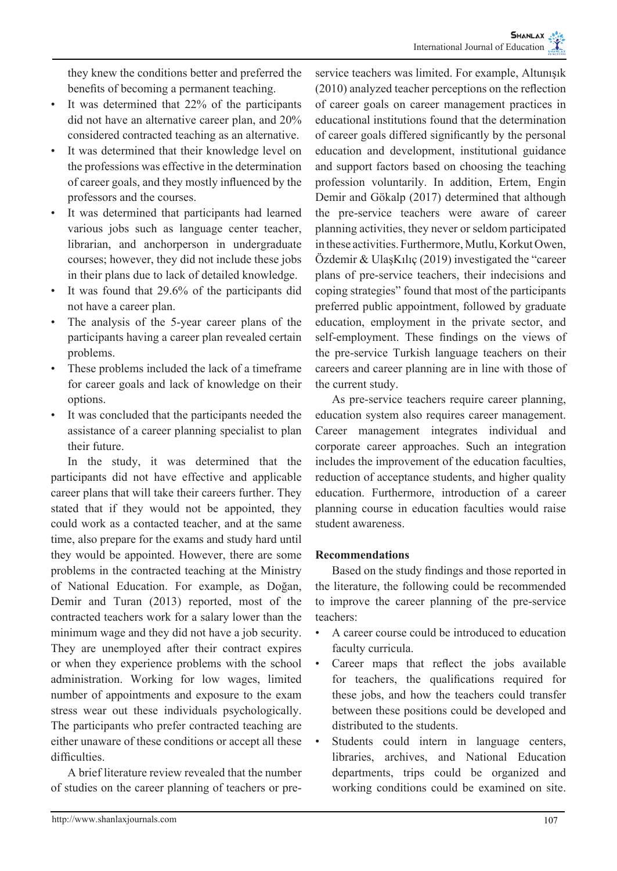they knew the conditions better and preferred the benefits of becoming a permanent teaching.

- It was determined that 22% of the participants did not have an alternative career plan, and 20% considered contracted teaching as an alternative.
- It was determined that their knowledge level on the professions was effective in the determination of career goals, and they mostly influenced by the professors and the courses.
- It was determined that participants had learned various jobs such as language center teacher, librarian, and anchorperson in undergraduate courses; however, they did not include these jobs in their plans due to lack of detailed knowledge.
- It was found that 29.6% of the participants did not have a career plan.
- The analysis of the 5-year career plans of the participants having a career plan revealed certain problems.
- These problems included the lack of a timeframe for career goals and lack of knowledge on their options.
- It was concluded that the participants needed the assistance of a career planning specialist to plan their future.

In the study, it was determined that the participants did not have effective and applicable career plans that will take their careers further. They stated that if they would not be appointed, they could work as a contacted teacher, and at the same time, also prepare for the exams and study hard until they would be appointed. However, there are some problems in the contracted teaching at the Ministry of National Education. For example, as Doğan, Demir and Turan (2013) reported, most of the contracted teachers work for a salary lower than the minimum wage and they did not have a job security. They are unemployed after their contract expires or when they experience problems with the school administration. Working for low wages, limited number of appointments and exposure to the exam stress wear out these individuals psychologically. The participants who prefer contracted teaching are either unaware of these conditions or accept all these difficulties.

A brief literature review revealed that the number of studies on the career planning of teachers or preservice teachers was limited. For example, Altunışık (2010) analyzed teacher perceptions on the reflection of career goals on career management practices in educational institutions found that the determination of career goals differed significantly by the personal education and development, institutional guidance and support factors based on choosing the teaching profession voluntarily. In addition, Ertem, Engin Demir and Gökalp (2017) determined that although the pre-service teachers were aware of career planning activities, they never or seldom participated in these activities. Furthermore, Mutlu, Korkut Owen, Özdemir & UlaşKılıç (2019) investigated the "career plans of pre-service teachers, their indecisions and coping strategies" found that most of the participants preferred public appointment, followed by graduate education, employment in the private sector, and self-employment. These findings on the views of the pre-service Turkish language teachers on their careers and career planning are in line with those of the current study.

As pre-service teachers require career planning, education system also requires career management. Career management integrates individual and corporate career approaches. Such an integration includes the improvement of the education faculties, reduction of acceptance students, and higher quality education. Furthermore, introduction of a career planning course in education faculties would raise student awareness.

# **Recommendations**

Based on the study findings and those reported in the literature, the following could be recommended to improve the career planning of the pre-service teachers:

- A career course could be introduced to education faculty curricula.
- Career maps that reflect the jobs available for teachers, the qualifications required for these jobs, and how the teachers could transfer between these positions could be developed and distributed to the students.
- Students could intern in language centers, libraries, archives, and National Education departments, trips could be organized and working conditions could be examined on site.